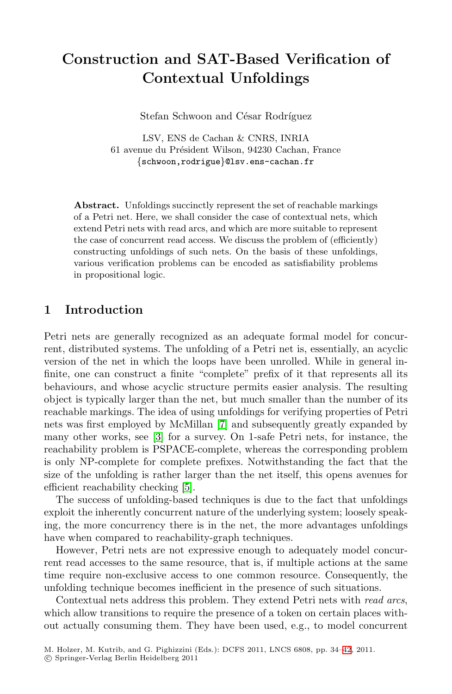# **Construction and SAT-Based Verification of Contextual Unfoldings**

Stefan Schwoon and César Rodríguez

LSV, ENS de Cachan & CNRS, INRIA 61 avenue du Président Wilson, 94230 Cachan, France *{*schwoon,rodrigue*}*@lsv.ens-cachan.fr

**Abstract.** Unfoldings succinctly represent the set of reachable markings of a Petri net. Here, we shall consider the case of contextual nets, which extend Petri nets with read arcs, and which are more suitable to represent the case of concurrent read access. We discuss the problem of (efficiently) constructing unfoldings of such nets. On the basis of these unfoldings, various verification problems can be encoded as satisfiability problems in propositional logic.

## **1 Introduction**

Petri nets are generally recognized as an adequate formal model for concurrent, distributed systems. The unfolding of a Petri net is, essentially, an acyclic version of the net in which the loops have been unrolled. While in general infinite, one can construct a finite "complete" prefix of it that represents all its behaviours, and whose acyclic structure permits easier analysis. The resulting object is typically larger than the net, but much smaller than the number of its reachable markings. The idea of using unfoldings for verifying properties of Petri nets was first employed by McMillan [\[7\]](#page-8-0) and subsequently greatly expanded by many other works, see [\[3\]](#page-7-0) for a survey. On 1-safe Petri nets, for instance, the reachability problem is PSPACE-complete, whereas the corresponding problem is only NP-complete for complete prefixes. Notwithstanding the fact that the size of the unfolding is rather larger than the net itself, this opens avenues for efficient reachability checking [\[5\]](#page-7-1).

The success of unfolding-based techniques is due to the fact that unfoldings exploit the inherently concurrent nature of the underlying system; loosely speaking, the more concurrency there is in the net, the more advantages unfoldings have when compared to reachability-graph techniques.

However, Petri nets are not expressive enough to adequately model concurrent read accesses to the same resource, that is, if multiple actions at the same time require non-exclusive access to one common resource. Consequently, the unfolding technique becomes inefficient in the presence of such situations.

Contextual nets address this problem. They extend Petri nets with *read arcs*, which allow transitions to require the presence of a token on certain places without actually consuming them. They have been used, e.g., to model concurrent

<sup>-</sup>c Springer-Verlag Berlin Heidelberg 2011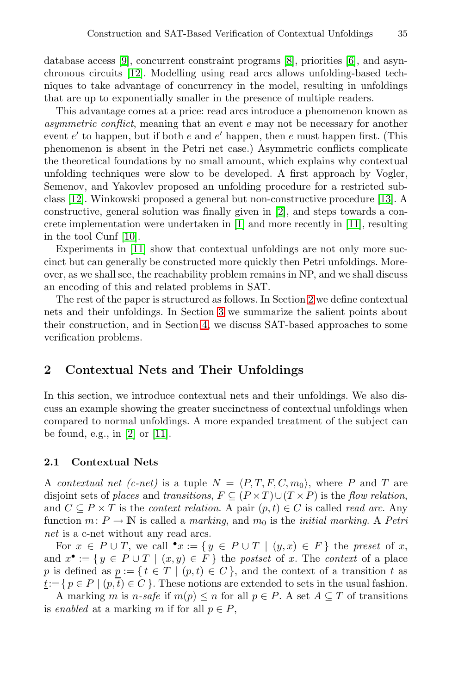database access [\[9\]](#page-8-2), concurrent constraint programs [\[8\]](#page-8-3), priorities [\[6\]](#page-8-4), and asynchronous circuits [\[12\]](#page-8-5). Modelling using read arcs allows unfolding-based techniques to take advantage of concurrency in the model, resulting in unfoldings that are up to exponentially smaller in the presence of multiple readers.

This advantage comes at a price: read arcs introduce a phenomenon known as *asymmetric conflict*, meaning that an event e may not be necessary for another event  $e'$  to happen, but if both  $e$  and  $e'$  happen, then  $e$  must happen first. (This phenomenon is absent in the Petri net case.) Asymmetric conflicts complicate the theoretical foundations by no small amount, which explains why contextual unfolding techniques were slow to be developed. A first approach by Vogler, Semenov, and Yakovlev proposed an unfolding procedure for a restricted subclass [\[12\]](#page-8-5). Winkowski proposed a general but non-constructive procedure [\[13\]](#page-8-6). A constructive, general solution was finally given in [\[2\]](#page-7-2), and steps towards a concrete implementation were undertaken in [\[1\]](#page-7-3) and more recently in [\[11\]](#page-8-7), resulting in the tool Cunf [\[10\]](#page-8-8).

Experiments in [\[11\]](#page-8-7) show that contextual unfoldings are not only more succinct but can generally be constructed more quickly then Petri unfoldings. Moreover, as we shall see, the reachability problem remains in NP, and we shall discuss an encoding of this and related problems in SAT.

The rest of the paper is structured as follows. In Section [2](#page-1-0) we define contextual nets and their unfoldings. In Section [3](#page-4-0) we summarize the salient points about their construction, and in Section [4,](#page-5-0) we discuss SAT-based approaches to some verification problems.

### <span id="page-1-0"></span>**2 Contextual Nets and Their Unfoldings**

In this section, we introduce contextual nets and their unfoldings. We also discuss an example showing the greater succinctness of contextual unfoldings when compared to normal unfoldings. A more expanded treatment of the subject can be found, e.g., in  $[2]$  or  $[11]$ .

#### **2.1 Contextual Nets**

A *contextual net (c-net)* is a tuple  $N = \langle P, T, F, C, m_0 \rangle$ , where P and T are disjoint sets of *places* and *transitions*,  $F \subseteq (P \times T) \cup (T \times P)$  is the *flow relation*, and  $C \subseteq P \times T$  is the *context relation*. A pair  $(p, t) \in C$  is called *read arc*. Any function  $m: P \to \mathbb{N}$  is called a *marking*, and  $m_0$  is the *initial marking*. A *Petri net* is a c-net without any read arcs.

For  $x \in P \cup T$ , we call  $\bullet x := \{ y \in P \cup T \mid (y, x) \in F \}$  the *preset* of x, and  $x^{\bullet} := \{ y \in P \cup T \mid (x, y) \in F \}$  the *postset* of x. The *context* of a place p is defined as  $p := \{ t \in T \mid (p,t) \in C \}$ , and the context of a transition t as  $\underline{t}:=\{p\in P\mid (p,\overline{t})\in C\}.$  These notions are extended to sets in the usual fashion.

A marking m is n-safe if  $m(p) \leq n$  for all  $p \in P$ . A set  $A \subseteq T$  of transitions is *enabled* at a marking m if for all  $p \in P$ ,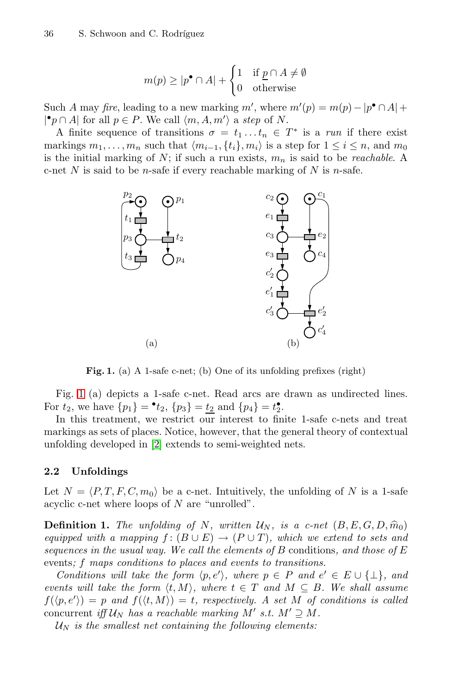$$
m(p) \ge |p^{\bullet} \cap A| + \begin{cases} 1 & \text{if } \underline{p} \cap A \neq \emptyset \\ 0 & \text{otherwise} \end{cases}
$$

Such A may *fire*, leading to a new marking m', where  $m'(p) = m(p) - |p^{\bullet} \cap A| +$ | $\bullet$ *p* ∩ *A*| for all *p* ∈ *P*. We call  $\langle m, A, m' \rangle$  a *step* of *N*.

A finite sequence of transitions  $\sigma = t_1 \dots t_n \in T^*$  is a *run* if there exist markings  $m_1, \ldots, m_n$  such that  $\langle m_{i-1}, \{t_i\}, m_i \rangle$  is a step for  $1 \le i \le n$ , and  $m_0$ is the initial marking of N; if such a run exists, m*<sup>n</sup>* is said to be *reachable*. A c-net N is said to be *n*-safe if every reachable marking of N is *n*-safe.



<span id="page-2-0"></span>Fig. 1. (a) A 1-safe c-net; (b) One of its unfolding prefixes (right)

Fig. [1](#page-2-0) (a) depicts a 1-safe c-net. Read arcs are drawn as undirected lines. For  $t_2$ , we have  $\{p_1\} = \bullet t_2$ ,  $\{p_3\} = \underline{t_2}$  and  $\{p_4\} = t_2^{\bullet}$ .

In this treatment, we restrict our interest to finite 1-safe c-nets and treat markings as sets of places. Notice, however, that the general theory of contextual unfolding developed in [\[2\]](#page-7-2) extends to semi-weighted nets.

#### **2.2 Unfoldings**

<span id="page-2-1"></span>Let  $N = \langle P, T, F, C, m_0 \rangle$  be a c-net. Intuitively, the unfolding of N is a 1-safe acyclic c-net where loops of N are "unrolled".

**Definition 1.** The unfolding of N, written  $U_N$ , is a c-net  $(B, E, G, D, \hat{m}_0)$ *equipped with a mapping*  $f : (B \cup E) \rightarrow (P \cup T)$ *, which we extend to sets and sequences in the usual way. We call the elements of* B conditions*, and those of* E events*;* f *maps conditions to places and events to transitions.*

*Conditions will take the form*  $\langle p, e' \rangle$ *, where*  $p \in P$  *and*  $e' \in E \cup \{\perp\}$ *, and events will take the form*  $\langle t, M \rangle$ , where  $t \in T$  and  $M \subseteq B$ . We shall assume  $f(\langle p, e' \rangle) = p$  and  $f(\langle t, M \rangle) = t$ , respectively. A set M of conditions is called concurrent *iff*  $U_N$  *has a reachable marking*  $M'$  *s.t.*  $M' \supseteq M$ .

 $U_N$  *is the smallest net containing the following elements:*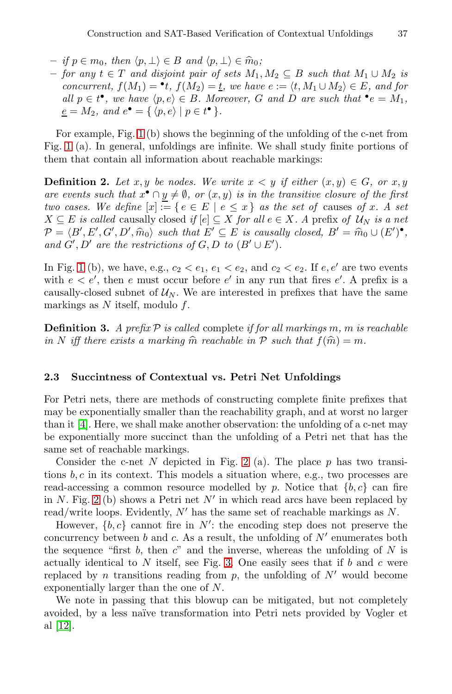- $-$  *if*  $p \in m_0$ , then  $\langle p, \perp \rangle \in B$  and  $\langle p, \perp \rangle \in \hat{m}_0$ ;<br>  $-$  for any  $t \in T$  and disjoint pair of sets M.
- **–** *for any* t ∈ T *and disjoint pair of sets* M1, M<sup>2</sup> ⊆ B *such that* M<sup>1</sup> ∪ M<sup>2</sup> *is concurrent,*  $f(M_1) = \cdot t$ ,  $f(M_2) = \underline{t}$ , we have  $e := \langle t, M_1 \cup M_2 \rangle \in E$ , and for *all*  $p \in t^{\bullet}$ , we have  $\langle p, e \rangle \in B$ . Moreover, G and D are such that  $\bullet e = M_1$ ,  $\underline{e} = M_2$ *, and*  $e^{\bullet} = \{ \langle p, e \rangle \mid p \in t^{\bullet} \}$ *.*

For example, Fig. [1](#page-2-0) (b) shows the beginning of the unfolding of the c-net from Fig. [1](#page-2-0) (a). In general, unfoldings are infinite. We shall study finite portions of them that contain all information about reachable markings:

**Definition 2.** Let x, y be nodes. We write  $x < y$  if either  $(x, y) \in G$ , or x, y *are events such that*  $x^{\bullet} \cap y \neq \emptyset$ , or  $(x, y)$  *is in the transitive closure of the first two cases. We define*  $[x] := \{ e \in E \mid e \leq x \}$  *as the set of causes of x. A set* X ⊆ E *is called* causally closed *if* [e] ⊆ X *for all* e ∈ X*. A* prefix *of* U*<sup>N</sup> is a net*  $\mathcal{P} = \langle B', E', G', D', \widehat{m}_0 \rangle$  such that  $E' \subseteq E$  is causally closed,  $B' = \widehat{m}_0 \cup (E')^{\bullet}$ ,<br>and  $G' \cup D'$  are the restrictions of  $G \cup D'$  to  $(B' \cup E')$ and  $G', D'$  are the restrictions of  $G, D$  to  $(B' \cup E')$ .

In Fig. [1](#page-2-0) (b), we have, e.g.,  $c_2 < e_1, e_1 < e_2$ , and  $c_2 < e_2$ . If  $e, e'$  are two events with  $e < e'$ , then e must occur before e' in any run that fires e'. A prefix is a causally-closed subnet of  $U_N$ . We are interested in prefixes that have the same markings as  $N$  itself, modulo  $f$ .

**Definition 3.** *A prefix* P *is called* complete *if for all markings* m*,* m *is reachable in* N *iff there exists a marking*  $\hat{m}$  *reachable in* P *such that*  $f(\hat{m}) = m$ *.* 

#### **2.3 Succintness of Contextual vs. Petri Net Unfoldings**

For Petri nets, there are methods of constructing complete finite prefixes that may be exponentially smaller than the reachability graph, and at worst no larger than it [\[4\]](#page-7-4). Here, we shall make another observation: the unfolding of a c-net may be exponentially more succinct than the unfolding of a Petri net that has the same set of reachable markings.

Consider the c-net N depicted in Fig. [2](#page-4-1) (a). The place  $p$  has two transitions  $b, c$  in its context. This models a situation where, e.g., two processes are read-accessing a common resource modelled by p. Notice that  ${b, c}$  can fire in N. Fig. [2](#page-4-1) (b) shows a Petri net  $N'$  in which read arcs have been replaced by read/write loops. Evidently,  $N'$  has the same set of reachable markings as  $N$ .

However,  $\{b, c\}$  cannot fire in N': the encoding step does not preserve the concurrency between b and c. As a result, the unfolding of  $N'$  enumerates both the sequence "first b, then c" and the inverse, whereas the unfolding of  $N$  is actually identical to  $N$  itself, see Fig. [3.](#page-4-2) One easily sees that if b and c were replaced by n transitions reading from  $p$ , the unfolding of  $N'$  would become exponentially larger than the one of N.

We note in passing that this blowup can be mitigated, but not completely avoided, by a less na¨ıve transformation into Petri nets provided by Vogler et al [\[12\]](#page-8-5).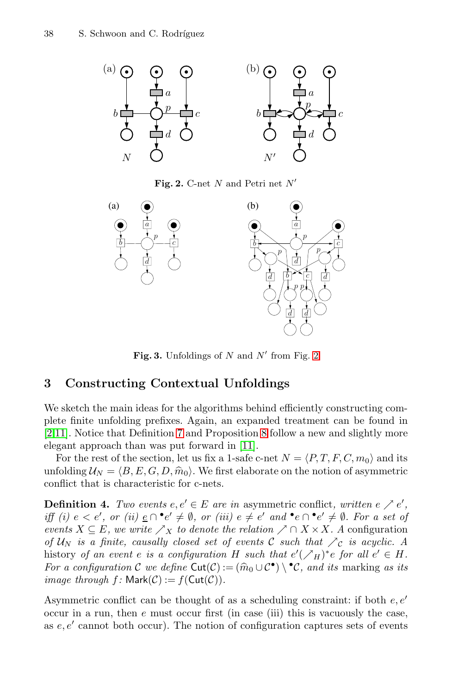

<span id="page-4-1"></span>**Fig. 2.** C-net *<sup>N</sup>* and Petri net *<sup>N</sup>*-



<span id="page-4-2"></span>**Fig. 3.** Unfoldings of  $N$  and  $N'$  from Fig. [2](#page-4-1)

#### <span id="page-4-0"></span>**3 Constructing Contextual Unfoldings**

We sketch the main ideas for the algorithms behind efficiently constructing complete finite unfolding prefixes. Again, an expanded treatment can be found in [\[2,](#page-7-2)[11\]](#page-8-7). Notice that Definition [7](#page-5-1) and Proposition [8](#page-5-2) follow a new and slightly more elegant approach than was put forward in [\[11\]](#page-8-7).

For the rest of the section, let us fix a 1-safe c-net  $N = \langle P, T, F, C, m_0 \rangle$  and its unfolding  $\mathcal{U}_N = \langle B, E, G, D, \hat{m}_0 \rangle$ . We first elaborate on the notion of asymmetric conflict that is characteristic for c-nats conflict that is characteristic for c-nets.

**Definition 4.** *Two events*  $e, e' \in E$  *are in* asymmetric conflict, written  $e \nearrow e'$ , *iff (i)*  $e < e'$ , or (ii)  $\underline{e} \cap \cdot e' \neq \emptyset$ , or (iii)  $e \neq e'$  and  $\cdot e \cap \cdot e' \neq \emptyset$ . For a set of *events*  $X \subseteq E$ *, we write*  $\sum_{X}$  *to denote the relation*  $\sum_{X} \cap X \times X$ *. A* configuration *of*  $U_N$  *is a finite, causally closed set of events* C *such that*  $\searrow$  *c is acyclic.* A history *of an event* e *is a configuration* H *such that*  $e'(\n\mathcal{N}_H)^*e$  for all  $e' \in H$ . *For a configuration* C *we define*  $\text{Cut}(\mathcal{C}) := (\widehat{m}_0 \cup \mathcal{C}^{\bullet}) \setminus {}^{\bullet} \mathcal{C}$ *, and its marking as its image through*  $f$ *:* Mark $(C)$  :=  $f$ (Cut $(C)$ ).

Asymmetric conflict can be thought of as a scheduling constraint: if both  $e, e'$ occur in a run, then  $e$  must occur first (in case (iii) this is vacuously the case, as  $e, e'$  cannot both occur). The notion of configuration captures sets of events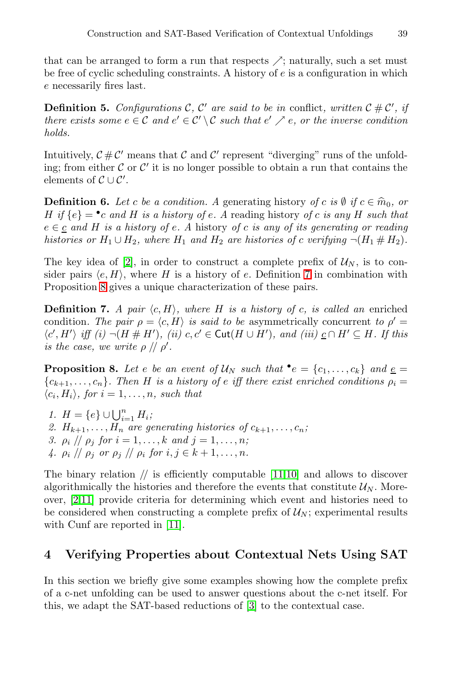that can be arranged to form a run that respects  $\nearrow$ ; naturally, such a set must be free of cyclic scheduling constraints. A history of e is a configuration in which e necessarily fires last.

**Definition 5.** *Configurations*  $\mathcal{C}$ ,  $\mathcal{C}'$  are said to be in conflict, written  $\mathcal{C} \# \mathcal{C}'$ , if *there exists some*  $e \in \mathcal{C}$  *and*  $e' \in \mathcal{C}' \setminus \mathcal{C}$  *such that*  $e' \nearrow e$ *, or the inverse condition holds.*

Intuitively,  $\mathcal{C} \# \mathcal{C}'$  means that  $\mathcal C$  and  $\mathcal C'$  represent "diverging" runs of the unfolding; from either  $\mathcal C$  or  $\mathcal C'$  it is no longer possible to obtain a run that contains the elements of  $\mathcal{C} \cup \mathcal{C}'$ .

**Definition 6.** Let c be a condition. A generating history of c is  $\emptyset$  if  $c \in \hat{m}_0$ , or H if  $\{e\} = \text{`c}$  and H is a history of e. A reading history of c is any H such that e ∈ c *and* H *is a history of* e*. A* history *of* c *is any of its generating or reading histories or*  $H_1 \cup H_2$ *, where*  $H_1$  *and*  $H_2$  *are histories of c verifying*  $\neg (H_1 \# H_2)$ *.* 

The key idea of [\[2\]](#page-7-2), in order to construct a complete prefix of  $\mathcal{U}_N$ , is to consider pairs  $\langle e, H \rangle$ , where H is a history of e. Definition [7](#page-5-1) in combination with Proposition [8](#page-5-2) gives a unique characterization of these pairs.

<span id="page-5-1"></span>**Definition 7.** *A pair*  $\langle c, H \rangle$ *, where H is a history of c, is called an* enriched condition. The pair  $\rho = \langle c, H \rangle$  is said to be asymmetrically concurrent to  $\rho' =$  $\langle c', H' \rangle$  iff (i)  $\neg(H \# H')$ , (ii)  $c, c' \in \text{Cut}(H \cup H')$ , and (iii)  $\underline{c} \cap H' \subseteq H$ . If this *is the case, we write*  $\rho$  //  $\rho'$ .

<span id="page-5-2"></span>**Proposition 8.** Let *e* be an event of  $U_N$  such that  $\bullet e = \{c_1, \ldots, c_k\}$  and  $\underline{e} = \{c_1, \ldots, c_k\}$  ${c_{k+1}, \ldots, c_n}$ *. Then* H *is a history of e iff there exist enriched conditions*  $\rho_i =$  $\langle c_i, H_i \rangle$ , for  $i = 1, \ldots, n$ , such that

*1.*  $H = \{e\} \cup \bigcup_{i=1}^{n} H_i;$ 2.  $H_{k+1}, \ldots, H_n$  are generating histories of  $c_{k+1}, \ldots, c_n$ ; *3.*  $\rho_i$  //  $\rho_j$  *for*  $i = 1, ..., k$  *and*  $j = 1, ..., n$ *; 4.*  $\rho_i$  //  $\rho_j$  or  $\rho_j$  //  $\rho_i$  for  $i, j \in k+1, \ldots, n$ .

The binary relation  $//$  is efficiently computable  $[11,10]$  $[11,10]$  and allows to discover algorithmically the histories and therefore the events that constitute  $\mathcal{U}_N$ . Moreover, [\[2](#page-7-2)[,11\]](#page-8-7) provide criteria for determining which event and histories need to be considered when constructing a complete prefix of  $\mathcal{U}_N$ ; experimental results with Cunf are reported in [\[11\]](#page-8-7).

# <span id="page-5-0"></span>**4 Verifying Properties about Contextual Nets Using SAT**

In this section we briefly give some examples showing how the complete prefix of a c-net unfolding can be used to answer questions about the c-net itself. For this, we adapt the SAT-based reductions of [\[3\]](#page-7-0) to the contextual case.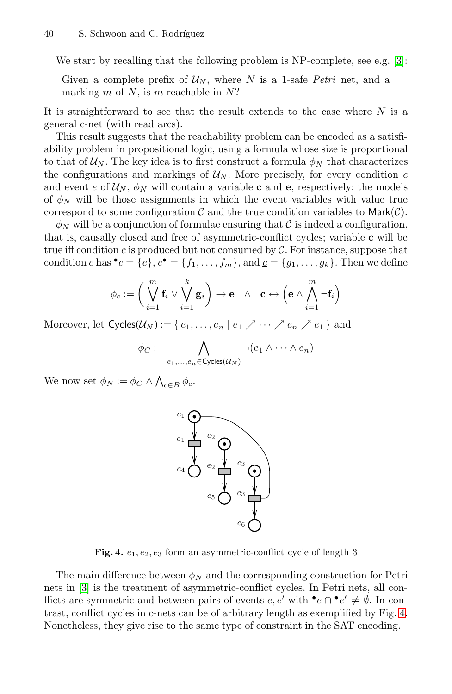We start by recalling that the following problem is NP-complete, see e.g. [\[3\]](#page-7-0):

Given a complete prefix of  $\mathcal{U}_N$ , where N is a 1-safe *Petri* net, and a marking m of N, is m reachable in  $N$ ?

It is straightforward to see that the result extends to the case where  $N$  is a general c-net (with read arcs).

This result suggests that the reachability problem can be encoded as a satisfiability problem in propositional logic, using a formula whose size is proportional to that of  $\mathcal{U}_N$ . The key idea is to first construct a formula  $\phi_N$  that characterizes the configurations and markings of  $U_N$ . More precisely, for every condition c and event e of  $\mathcal{U}_N$ ,  $\phi_N$  will contain a variable **c** and **e**, respectively; the models of  $\phi_N$  will be those assignments in which the event variables with value true correspond to some configuration  $\mathcal C$  and the true condition variables to Mark $(\mathcal C)$ .

 $\phi_N$  will be a conjunction of formulae ensuring that C is indeed a configuration, that is, causally closed and free of asymmetric-conflict cycles; variable **c** will be true iff condition c is produced but not consumed by  $\mathcal{C}$ . For instance, suppose that condition c has  $\bullet c = \{e\}, c\bullet = \{f_1,\ldots,f_m\}$ , and  $\underline{c} = \{g_1,\ldots,g_k\}$ . Then we define

$$
\phi_c := \bigg( \bigvee_{i=1}^m \mathbf{f}_i \vee \bigvee_{i=1}^k \mathbf{g}_i \bigg) \to \mathbf{e} \quad \wedge \quad \mathbf{c} \leftrightarrow \bigg( \mathbf{e} \wedge \bigwedge_{i=1}^m \neg \mathbf{f}_i \bigg)
$$

Moreover, let  $\text{Cycles}(\mathcal{U}_N) := \{ e_1, \ldots, e_n \mid e_1 \nearrow \cdots \nearrow e_n \nearrow e_1 \}$  and

$$
\phi_C := \bigwedge_{e_1,\ldots,e_n \in \text{Cycles}(\mathcal{U}_N)} \neg(e_1 \land \cdots \land e_n)
$$

We now set  $\phi_N := \phi_C \wedge \bigwedge_{c \in B} \phi_c$ .



<span id="page-6-0"></span>Fig. 4.  $e_1, e_2, e_3$  form an asymmetric-conflict cycle of length 3

The main difference between  $\phi_N$  and the corresponding construction for Petri nets in [\[3\]](#page-7-0) is the treatment of asymmetric-conflict cycles. In Petri nets, all conflicts are symmetric and between pairs of events  $e, e'$  with  $\bullet e \cap \bullet e' \neq \emptyset$ . In contrast, conflict cycles in c-nets can be of arbitrary length as exemplified by Fig. [4.](#page-6-0) Nonetheless, they give rise to the same type of constraint in the SAT encoding.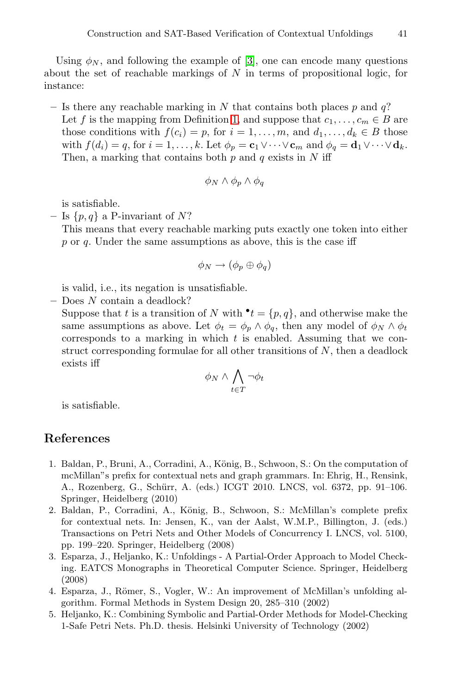Using  $\phi_N$ , and following the example of [\[3\]](#page-7-0), one can encode many questions about the set of reachable markings of  $N$  in terms of propositional logic, for instance:

**–** Is there any reachable marking in N that contains both places p and q? Let f is the mapping from Definition [1,](#page-2-1) and suppose that  $c_1, \ldots, c_m \in B$  are those conditions with  $f(c_i) = p$ , for  $i = 1, \ldots, m$ , and  $d_1, \ldots, d_k \in B$  those with  $f(d_i) = q$ , for  $i = 1, ..., k$ . Let  $\phi_p = \mathbf{c}_1 \vee \cdots \vee \mathbf{c}_m$  and  $\phi_q = \mathbf{d}_1 \vee \cdots \vee \mathbf{d}_k$ . Then, a marking that contains both  $p$  and  $q$  exists in  $N$  iff

$$
\phi_N \wedge \phi_p \wedge \phi_q
$$

is satisfiable.

 $-$  Is  $\{p,q\}$  a P-invariant of N?

This means that every reachable marking puts exactly one token into either  $p$  or  $q$ . Under the same assumptions as above, this is the case iff

$$
\phi_N \to (\phi_p \oplus \phi_q)
$$

is valid, i.e., its negation is unsatisfiable.

**–** Does N contain a deadlock?

Suppose that t is a transition of N with  $\mathbf{t} = \{p, q\}$ , and otherwise make the same assumptions as above. Let  $\phi_t = \phi_p \wedge \phi_q$ , then any model of  $\phi_N \wedge \phi_t$ corresponds to a marking in which  $t$  is enabled. Assuming that we construct corresponding formulae for all other transitions of  $N$ , then a deadlock exists iff

$$
\phi_N \wedge \bigwedge_{t \in T} \neg \phi_t
$$

is satisfiable.

## **References**

- <span id="page-7-3"></span>1. Baldan, P., Bruni, A., Corradini, A., König, B., Schwoon, S.: On the computation of mcMillan"s prefix for contextual nets and graph grammars. In: Ehrig, H., Rensink, A., Rozenberg, G., Schürr, A. (eds.) ICGT 2010. LNCS, vol. 6372, pp. 91–106. Springer, Heidelberg (2010)
- <span id="page-7-2"></span>2. Baldan, P., Corradini, A., König, B., Schwoon, S.: McMillan's complete prefix for contextual nets. In: Jensen, K., van der Aalst, W.M.P., Billington, J. (eds.) Transactions on Petri Nets and Other Models of Concurrency I. LNCS, vol. 5100, pp. 199–220. Springer, Heidelberg (2008)
- <span id="page-7-0"></span>3. Esparza, J., Heljanko, K.: Unfoldings - A Partial-Order Approach to Model Checking. EATCS Monographs in Theoretical Computer Science. Springer, Heidelberg (2008)
- <span id="page-7-4"></span>4. Esparza, J., Römer, S., Vogler, W.: An improvement of McMillan's unfolding algorithm. Formal Methods in System Design 20, 285–310 (2002)
- <span id="page-7-1"></span>5. Heljanko, K.: Combining Symbolic and Partial-Order Methods for Model-Checking 1-Safe Petri Nets. Ph.D. thesis. Helsinki University of Technology (2002)